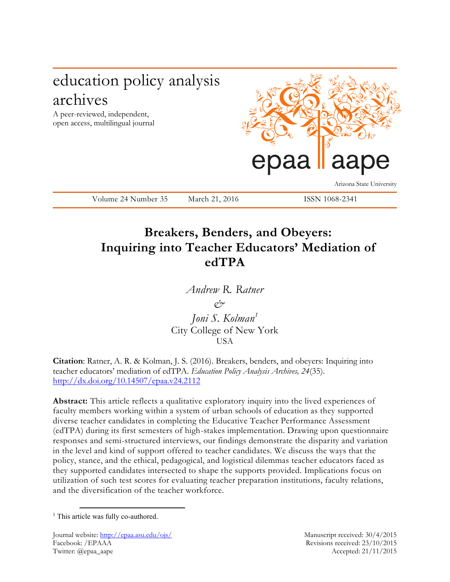# education policy analysis archives

A peer-reviewed, independent, open access, multilingual journal



Arizona State University

Volume 24 Number 35 March 21, 2016 ISSN 1068-2341

## **Breakers, Benders, and Obeyers: Inquiring into Teacher Educators' Mediation of edTPA**

*Andrew R. Ratner & Joni S. Kolman<sup>1</sup>* City College of New York **USA** 

**Citation**: Ratner, A. R. & Kolman, J. S. (2016). Breakers, benders, and obeyers: Inquiring into teacher educators' mediation of edTPA. *Education Policy Analysis Archives, 24*(35). <http://dx.doi.org/10.14507/epaa.v24.2112>

**Abstract:** This article reflects a qualitative exploratory inquiry into the lived experiences of faculty members working within a system of urban schools of education as they supported diverse teacher candidates in completing the Educative Teacher Performance Assessment (edTPA) during its first semesters of high-stakes implementation. Drawing upon questionnaire responses and semi-structured interviews, our findings demonstrate the disparity and variation in the level and kind of support offered to teacher candidates. We discuss the ways that the policy, stance, and the ethical, pedagogical, and logistical dilemmas teacher educators faced as they supported candidates intersected to shape the supports provided. Implications focus on utilization of such test scores for evaluating teacher preparation institutions, faculty relations, and the diversification of the teacher workforce.

 $\overline{a}$ 

<sup>&</sup>lt;sup>1</sup> This article was fully co-authored.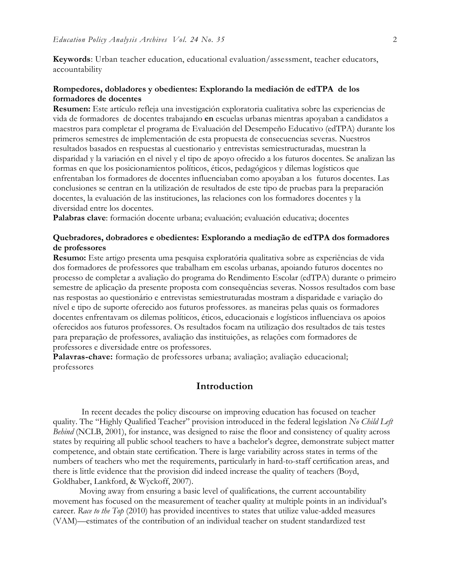**Keywords**: Urban teacher education, educational evaluation/assessment, teacher educators, accountability

## **Rompedores, dobladores y obedientes: Explorando la mediación de edTPA de los formadores de docentes**

**Resumen:** Este artículo refleja una investigación exploratoria cualitativa sobre las experiencias de vida de formadores de docentes trabajando **en** escuelas urbanas mientras apoyaban a candidatos a maestros para completar el programa de Evaluación del Desempeño Educativo (edTPA) durante los primeros semestres de implementación de esta propuesta de consecuencias severas. Nuestros resultados basados en respuestas al cuestionario y entrevistas semiestructuradas, muestran la disparidad y la variación en el nivel y el tipo de apoyo ofrecido a los futuros docentes. Se analizan las formas en que los posicionamientos políticos, éticos, pedagógicos y dilemas logísticos que enfrentaban los formadores de docentes influenciaban como apoyaban a los futuros docentes. Las conclusiones se centran en la utilización de resultados de este tipo de pruebas para la preparación docentes, la evaluación de las instituciones, las relaciones con los formadores docentes y la diversidad entre los docentes.

**Palabras clave**: formación docente urbana; evaluación; evaluación educativa; docentes

### **Quebradores, dobradores e obedientes: Explorando a mediação de edTPA dos formadores de professores**

**Resumo:** Este artigo presenta uma pesquisa exploratória qualitativa sobre as experiências de vida dos formadores de professores que trabalham em escolas urbanas, apoiando futuros docentes no processo de completar a avaliação do programa do Rendimento Escolar (edTPA) durante o primeiro semestre de aplicação da presente proposta com consequências severas. Nossos resultados com base nas respostas ao questionário e entrevistas semiestruturadas mostram a disparidade e variação do nível e tipo de suporte oferecido aos futuros professores. as maneiras pelas quais os formadores docentes enfrentavam os dilemas políticos, éticos, educacionais e logísticos influenciava os apoios oferecidos aos futuros professores. Os resultados focam na utilização dos resultados de tais testes para preparação de professores, avaliação das instituições, as relações com formadores de professores e diversidade entre os professores.

**Palavras-chave:** formação de professores urbana; avaliação; avaliação educacional; professores

## **Introduction**

In recent decades the policy discourse on improving education has focused on teacher quality. The "Highly Qualified Teacher" provision introduced in the federal legislation *No Child Left Behind* (NCLB, 2001), for instance, was designed to raise the floor and consistency of quality across states by requiring all public school teachers to have a bachelor's degree, demonstrate subject matter competence, and obtain state certification. There is large variability across states in terms of the numbers of teachers who met the requirements, particularly in hard-to-staff certification areas, and there is little evidence that the provision did indeed increase the quality of teachers (Boyd, Goldhaber, Lankford, & Wyckoff, 2007).

Moving away from ensuring a basic level of qualifications, the current accountability movement has focused on the measurement of teacher quality at multiple points in an individual's career. *Race to the Top* (2010) has provided incentives to states that utilize value-added measures (VAM)—estimates of the contribution of an individual teacher on student standardized test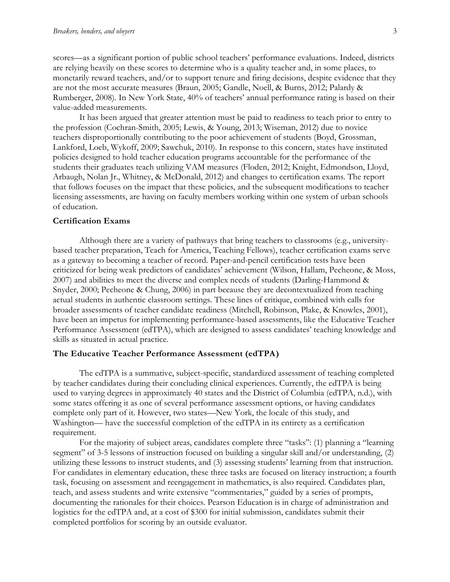scores—as a significant portion of public school teachers' performance evaluations. Indeed, districts are relying heavily on these scores to determine who is a quality teacher and, in some places, to monetarily reward teachers, and/or to support tenure and firing decisions, despite evidence that they are not the most accurate measures (Braun, 2005; Gandle, Noell, & Burns, 2012; Palardy & Rumberger, 2008). In New York State, 40% of teachers' annual performance rating is based on their value-added measurements.

It has been argued that greater attention must be paid to readiness to teach prior to entry to the profession (Cochran-Smith, 2005; Lewis, & Young, 2013; Wiseman, 2012) due to novice teachers disproportionally contributing to the poor achievement of students (Boyd, Grossman, Lankford, Loeb, Wykoff, 2009; Sawchuk, 2010). In response to this concern, states have instituted policies designed to hold teacher education programs accountable for the performance of the students their graduates teach utilizing VAM measures (Floden, 2012; Knight, Edmondson, Lloyd, Arbaugh, Nolan Jr., Whitney, & McDonald, 2012) and changes to certification exams. The report that follows focuses on the impact that these policies, and the subsequent modifications to teacher licensing assessments, are having on faculty members working within one system of urban schools of education.

#### **Certification Exams**

Although there are a variety of pathways that bring teachers to classrooms (e.g., universitybased teacher preparation, Teach for America, Teaching Fellows), teacher certification exams serve as a gateway to becoming a teacher of record. Paper-and-pencil certification tests have been criticized for being weak predictors of candidates' achievement (Wilson, Hallam, Pecheone, & Moss, 2007) and abilities to meet the diverse and complex needs of students (Darling-Hammond & Snyder, 2000; Pecheone & Chung, 2006) in part because they are decontextualized from teaching actual students in authentic classroom settings. These lines of critique, combined with calls for broader assessments of teacher candidate readiness (Mitchell, Robinson, Plake, & Knowles, 2001), have been an impetus for implementing performance-based assessments, like the Educative Teacher Performance Assessment (edTPA), which are designed to assess candidates' teaching knowledge and skills as situated in actual practice.

#### **The Educative Teacher Performance Assessment (edTPA)**

The edTPA is a summative, subject-specific, standardized assessment of teaching completed by teacher candidates during their concluding clinical experiences. Currently, the edTPA is being used to varying degrees in approximately 40 states and the District of Columbia (edTPA, n.d.), with some states offering it as one of several performance assessment options, or having candidates complete only part of it. However, two states—New York, the locale of this study, and Washington— have the successful completion of the edTPA in its entirety as a certification requirement.

For the majority of subject areas, candidates complete three "tasks": (1) planning a "learning segment" of 3-5 lessons of instruction focused on building a singular skill and/or understanding, (2) utilizing these lessons to instruct students, and (3) assessing students' learning from that instruction. For candidates in elementary education, these three tasks are focused on literacy instruction; a fourth task, focusing on assessment and reengagement in mathematics, is also required. Candidates plan, teach, and assess students and write extensive "commentaries," guided by a series of prompts, documenting the rationales for their choices. Pearson Education is in charge of administration and logistics for the edTPA and, at a cost of \$300 for initial submission, candidates submit their completed portfolios for scoring by an outside evaluator.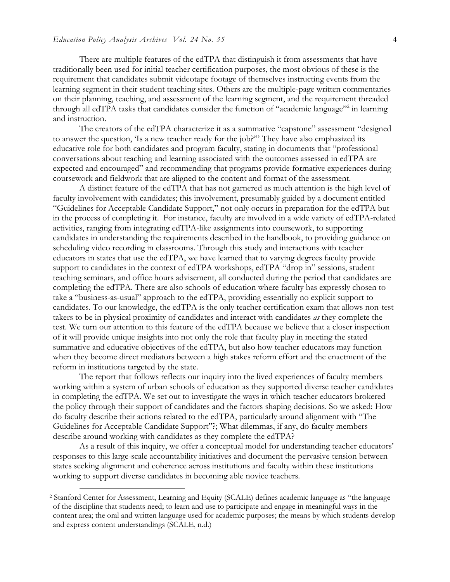There are multiple features of the edTPA that distinguish it from assessments that have traditionally been used for initial teacher certification purposes, the most obvious of these is the requirement that candidates submit videotape footage of themselves instructing events from the learning segment in their student teaching sites. Others are the multiple-page written commentaries on their planning, teaching, and assessment of the learning segment, and the requirement threaded through all edTPA tasks that candidates consider the function of "academic language"<sup>2</sup> in learning and instruction.

The creators of the edTPA characterize it as a summative "capstone" assessment "designed to answer the question, 'Is a new teacher ready for the job?'" They have also emphasized its educative role for both candidates and program faculty, stating in documents that "professional conversations about teaching and learning associated with the outcomes assessed in edTPA are expected and encouraged" and recommending that programs provide formative experiences during coursework and fieldwork that are aligned to the content and format of the assessment.

A distinct feature of the edTPA that has not garnered as much attention is the high level of faculty involvement with candidates; this involvement, presumably guided by a document entitled "Guidelines for Acceptable Candidate Support," not only occurs in preparation for the edTPA but in the process of completing it. For instance, faculty are involved in a wide variety of edTPA-related activities, ranging from integrating edTPA-like assignments into coursework, to supporting candidates in understanding the requirements described in the handbook, to providing guidance on scheduling video recording in classrooms. Through this study and interactions with teacher educators in states that use the edTPA, we have learned that to varying degrees faculty provide support to candidates in the context of edTPA workshops, edTPA "drop in" sessions, student teaching seminars, and office hours advisement, all conducted during the period that candidates are completing the edTPA. There are also schools of education where faculty has expressly chosen to take a "business-as-usual" approach to the edTPA, providing essentially no explicit support to candidates. To our knowledge, the edTPA is the only teacher certification exam that allows non-test takers to be in physical proximity of candidates and interact with candidates *as* they complete the test. We turn our attention to this feature of the edTPA because we believe that a closer inspection of it will provide unique insights into not only the role that faculty play in meeting the stated summative and educative objectives of the edTPA, but also how teacher educators may function when they become direct mediators between a high stakes reform effort and the enactment of the reform in institutions targeted by the state.

The report that follows reflects our inquiry into the lived experiences of faculty members working within a system of urban schools of education as they supported diverse teacher candidates in completing the edTPA. We set out to investigate the ways in which teacher educators brokered the policy through their support of candidates and the factors shaping decisions. So we asked: How do faculty describe their actions related to the edTPA, particularly around alignment with "The Guidelines for Acceptable Candidate Support"?; What dilemmas, if any, do faculty members describe around working with candidates as they complete the edTPA?

As a result of this inquiry, we offer a conceptual model for understanding teacher educators' responses to this large-scale accountability initiatives and document the pervasive tension between states seeking alignment and coherence across institutions and faculty within these institutions working to support diverse candidates in becoming able novice teachers.

 $\overline{a}$ 

<sup>2</sup> Stanford Center for Assessment, Learning and Equity (SCALE) defines academic language as "the language of the discipline that students need; to learn and use to participate and engage in meaningful ways in the content area; the oral and written language used for academic purposes; the means by which students develop and express content understandings (SCALE, n.d.)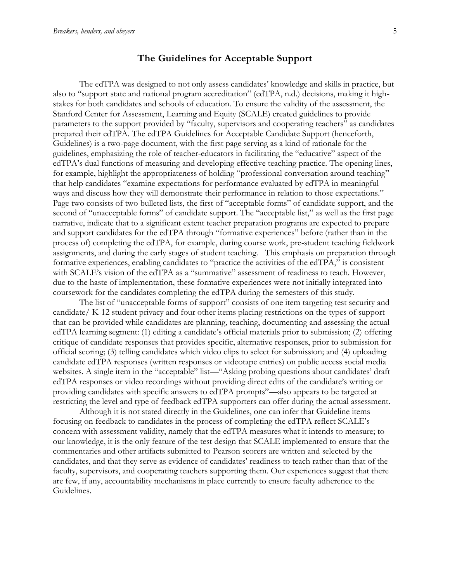## **The Guidelines for Acceptable Support**

The edTPA was designed to not only assess candidates' knowledge and skills in practice, but also to "support state and national program accreditation" (edTPA, n.d.) decisions, making it highstakes for both candidates and schools of education. To ensure the validity of the assessment, the Stanford Center for Assessment, Learning and Equity (SCALE) created guidelines to provide parameters to the support provided by "faculty, supervisors and cooperating teachers" as candidates prepared their edTPA. The edTPA Guidelines for Acceptable Candidate Support (henceforth, Guidelines) is a two-page document, with the first page serving as a kind of rationale for the guidelines, emphasizing the role of teacher-educators in facilitating the "educative" aspect of the edTPA's dual functions of measuring and developing effective teaching practice. The opening lines, for example, highlight the appropriateness of holding "professional conversation around teaching" that help candidates "examine expectations for performance evaluated by edTPA in meaningful ways and discuss how they will demonstrate their performance in relation to those expectations." Page two consists of two bulleted lists, the first of "acceptable forms" of candidate support, and the second of "unacceptable forms" of candidate support. The "acceptable list," as well as the first page narrative, indicate that to a significant extent teacher preparation programs are expected to prepare and support candidates for the edTPA through "formative experiences" before (rather than in the process of) completing the edTPA, for example, during course work, pre-student teaching fieldwork assignments, and during the early stages of student teaching. This emphasis on preparation through formative experiences, enabling candidates to "practice the activities of the edTPA," is consistent with SCALE's vision of the edTPA as a "summative" assessment of readiness to teach. However, due to the haste of implementation, these formative experiences were not initially integrated into coursework for the candidates completing the edTPA during the semesters of this study.

The list of "unacceptable forms of support" consists of one item targeting test security and candidate/ K-12 student privacy and four other items placing restrictions on the types of support that can be provided while candidates are planning, teaching, documenting and assessing the actual edTPA learning segment: (1) editing a candidate's official materials prior to submission; (2) offering critique of candidate responses that provides specific, alternative responses, prior to submission for official scoring; (3) telling candidates which video clips to select for submission; and (4) uploading candidate edTPA responses (written responses or videotape entries) on public access social media websites. A single item in the "acceptable" list—"Asking probing questions about candidates' draft edTPA responses or video recordings without providing direct edits of the candidate's writing or providing candidates with specific answers to edTPA prompts"—also appears to be targeted at restricting the level and type of feedback edTPA supporters can offer during the actual assessment.

Although it is not stated directly in the Guidelines, one can infer that Guideline items focusing on feedback to candidates in the process of completing the edTPA reflect SCALE's concern with assessment validity, namely that the edTPA measures what it intends to measure; to our knowledge, it is the only feature of the test design that SCALE implemented to ensure that the commentaries and other artifacts submitted to Pearson scorers are written and selected by the candidates, and that they serve as evidence of candidates' readiness to teach rather than that of the faculty, supervisors, and cooperating teachers supporting them. Our experiences suggest that there are few, if any, accountability mechanisms in place currently to ensure faculty adherence to the Guidelines.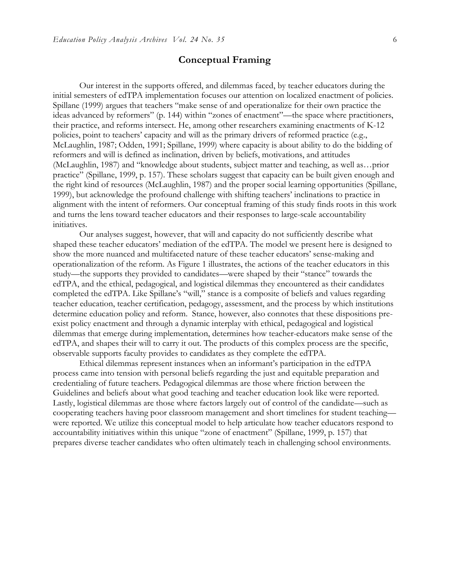## **Conceptual Framing**

Our interest in the supports offered, and dilemmas faced, by teacher educators during the initial semesters of edTPA implementation focuses our attention on localized enactment of policies. Spillane (1999) argues that teachers "make sense of and operationalize for their own practice the ideas advanced by reformers" (p. 144) within "zones of enactment"—the space where practitioners, their practice, and reforms intersect. He, among other researchers examining enactments of K-12 policies, point to teachers' capacity and will as the primary drivers of reformed practice (e.g., McLaughlin, 1987; Odden, 1991; Spillane, 1999) where capacity is about ability to do the bidding of reformers and will is defined as inclination, driven by beliefs, motivations, and attitudes (McLaughlin, 1987) and "knowledge about students, subject matter and teaching, as well as…prior practice" (Spillane, 1999, p. 157). These scholars suggest that capacity can be built given enough and the right kind of resources (McLaughlin, 1987) and the proper social learning opportunities (Spillane, 1999), but acknowledge the profound challenge with shifting teachers' inclinations to practice in alignment with the intent of reformers. Our conceptual framing of this study finds roots in this work and turns the lens toward teacher educators and their responses to large-scale accountability initiatives.

Our analyses suggest, however, that will and capacity do not sufficiently describe what shaped these teacher educators' mediation of the edTPA. The model we present here is designed to show the more nuanced and multifaceted nature of these teacher educators' sense-making and operationalization of the reform. As Figure 1 illustrates, the actions of the teacher educators in this study—the supports they provided to candidates—were shaped by their "stance" towards the edTPA, and the ethical, pedagogical, and logistical dilemmas they encountered as their candidates completed the edTPA. Like Spillane's "will," stance is a composite of beliefs and values regarding teacher education, teacher certification, pedagogy, assessment, and the process by which institutions determine education policy and reform. Stance, however, also connotes that these dispositions preexist policy enactment and through a dynamic interplay with ethical, pedagogical and logistical dilemmas that emerge during implementation, determines how teacher-educators make sense of the edTPA, and shapes their will to carry it out. The products of this complex process are the specific, observable supports faculty provides to candidates as they complete the edTPA.

Ethical dilemmas represent instances when an informant's participation in the edTPA process came into tension with personal beliefs regarding the just and equitable preparation and credentialing of future teachers. Pedagogical dilemmas are those where friction between the Guidelines and beliefs about what good teaching and teacher education look like were reported. Lastly, logistical dilemmas are those where factors largely out of control of the candidate—such as cooperating teachers having poor classroom management and short timelines for student teaching were reported. We utilize this conceptual model to help articulate how teacher educators respond to accountability initiatives within this unique "zone of enactment" (Spillane, 1999, p. 157) that prepares diverse teacher candidates who often ultimately teach in challenging school environments.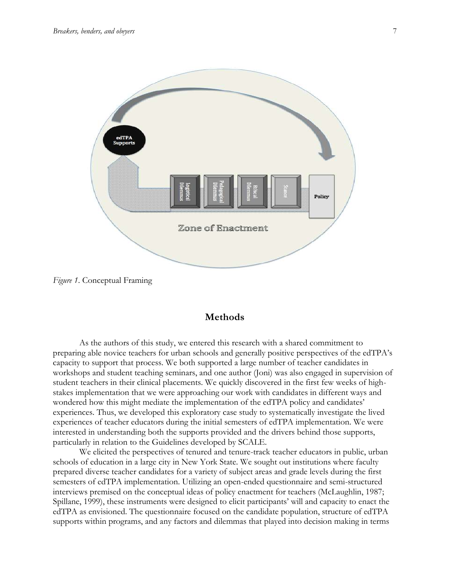

*Figure 1*. Conceptual Framing

## **Methods**

As the authors of this study, we entered this research with a shared commitment to preparing able novice teachers for urban schools and generally positive perspectives of the edTPA's capacity to support that process. We both supported a large number of teacher candidates in workshops and student teaching seminars, and one author (Joni) was also engaged in supervision of student teachers in their clinical placements. We quickly discovered in the first few weeks of highstakes implementation that we were approaching our work with candidates in different ways and wondered how this might mediate the implementation of the edTPA policy and candidates' experiences. Thus, we developed this exploratory case study to systematically investigate the lived experiences of teacher educators during the initial semesters of edTPA implementation. We were interested in understanding both the supports provided and the drivers behind those supports, particularly in relation to the Guidelines developed by SCALE.

We elicited the perspectives of tenured and tenure-track teacher educators in public, urban schools of education in a large city in New York State. We sought out institutions where faculty prepared diverse teacher candidates for a variety of subject areas and grade levels during the first semesters of edTPA implementation. Utilizing an open-ended questionnaire and semi-structured interviews premised on the conceptual ideas of policy enactment for teachers (McLaughlin, 1987; Spillane, 1999), these instruments were designed to elicit participants' will and capacity to enact the edTPA as envisioned. The questionnaire focused on the candidate population, structure of edTPA supports within programs, and any factors and dilemmas that played into decision making in terms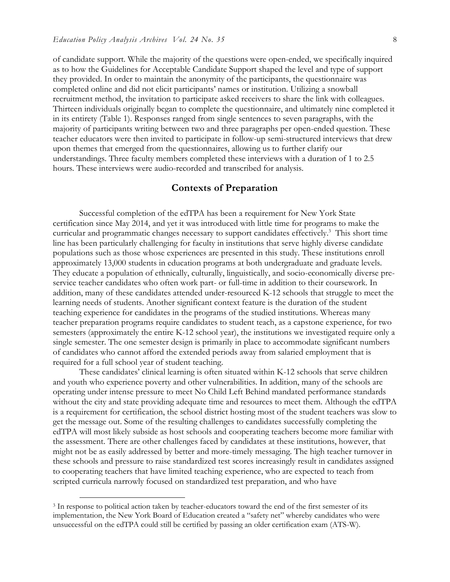of candidate support. While the majority of the questions were open-ended, we specifically inquired as to how the Guidelines for Acceptable Candidate Support shaped the level and type of support they provided. In order to maintain the anonymity of the participants, the questionnaire was completed online and did not elicit participants' names or institution. Utilizing a snowball recruitment method, the invitation to participate asked receivers to share the link with colleagues. Thirteen individuals originally began to complete the questionnaire, and ultimately nine completed it in its entirety (Table 1). Responses ranged from single sentences to seven paragraphs, with the majority of participants writing between two and three paragraphs per open-ended question. These teacher educators were then invited to participate in follow-up semi-structured interviews that drew upon themes that emerged from the questionnaires, allowing us to further clarify our understandings. Three faculty members completed these interviews with a duration of 1 to 2.5 hours. These interviews were audio-recorded and transcribed for analysis.

## **Contexts of Preparation**

Successful completion of the edTPA has been a requirement for New York State certification since May 2014, and yet it was introduced with little time for programs to make the curricular and programmatic changes necessary to support candidates effectively.<sup>3</sup> This short time line has been particularly challenging for faculty in institutions that serve highly diverse candidate populations such as those whose experiences are presented in this study. These institutions enroll approximately 13,000 students in education programs at both undergraduate and graduate levels. They educate a population of ethnically, culturally, linguistically, and socio-economically diverse preservice teacher candidates who often work part- or full-time in addition to their coursework. In addition, many of these candidates attended under-resourced K-12 schools that struggle to meet the learning needs of students. Another significant context feature is the duration of the student teaching experience for candidates in the programs of the studied institutions. Whereas many teacher preparation programs require candidates to student teach, as a capstone experience, for two semesters (approximately the entire K-12 school year), the institutions we investigated require only a single semester. The one semester design is primarily in place to accommodate significant numbers of candidates who cannot afford the extended periods away from salaried employment that is required for a full school year of student teaching.

These candidates' clinical learning is often situated within K-12 schools that serve children and youth who experience poverty and other vulnerabilities. In addition, many of the schools are operating under intense pressure to meet No Child Left Behind mandated performance standards without the city and state providing adequate time and resources to meet them. Although the edTPA is a requirement for certification, the school district hosting most of the student teachers was slow to get the message out. Some of the resulting challenges to candidates successfully completing the edTPA will most likely subside as host schools and cooperating teachers become more familiar with the assessment. There are other challenges faced by candidates at these institutions, however, that might not be as easily addressed by better and more-timely messaging. The high teacher turnover in these schools and pressure to raise standardized test scores increasingly result in candidates assigned to cooperating teachers that have limited teaching experience, who are expected to teach from scripted curricula narrowly focused on standardized test preparation, and who have

 $\overline{a}$ 

<sup>3</sup> In response to political action taken by teacher-educators toward the end of the first semester of its implementation, the New York Board of Education created a "safety net" whereby candidates who were unsuccessful on the edTPA could still be certified by passing an older certification exam (ATS-W).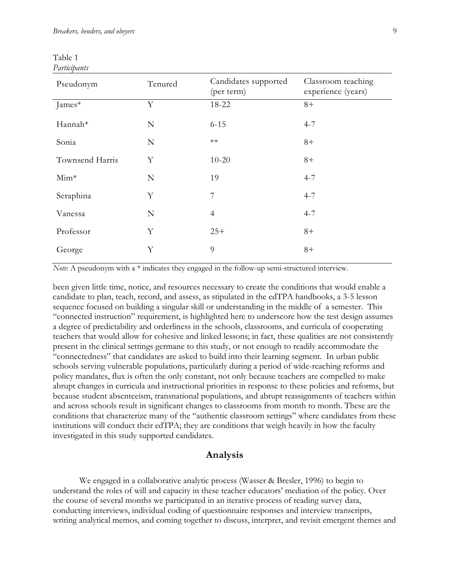| Table 1      |
|--------------|
| Participants |

| Pseudonym       | Tenured     | Candidates supported<br>(per term) | Classroom teaching<br>experience (years) |
|-----------------|-------------|------------------------------------|------------------------------------------|
| James*          | Y           | 18-22                              | $8+$                                     |
| Hannah*         | N           | $6 - 15$                           | $4 - 7$                                  |
| Sonia           | $\mathbf N$ | $**$                               | $8+$                                     |
| Townsend Harris | Y           | $10 - 20$                          | $8+$                                     |
| $Min*$          | ${\bf N}$   | 19                                 | $4 - 7$                                  |
| Seraphina       | Y           | 7                                  | $4 - 7$                                  |
| Vanessa         | N           | $\overline{4}$                     | $4 - 7$                                  |
| Professor       | Y           | $25+$                              | $8+$                                     |
| George          | Y           | 9                                  | $8+$                                     |

*Note*: A pseudonym with a \* indicates they engaged in the follow-up semi-structured interview.

been given little time, notice, and resources necessary to create the conditions that would enable a candidate to plan, teach, record, and assess, as stipulated in the edTPA handbooks, a 3-5 lesson sequence focused on building a singular skill or understanding in the middle of a semester. This "connected instruction" requirement, is highlighted here to underscore how the test design assumes a degree of predictability and orderliness in the schools, classrooms, and curricula of cooperating teachers that would allow for cohesive and linked lessons; in fact, these qualities are not consistently present in the clinical settings germane to this study, or not enough to readily accommodate the "connectedness" that candidates are asked to build into their learning segment. In urban public schools serving vulnerable populations, particularly during a period of wide-reaching reforms and policy mandates, flux is often the only constant, not only because teachers are compelled to make abrupt changes in curricula and instructional priorities in response to these policies and reforms, but because student absenteeism, transnational populations, and abrupt reassignments of teachers within and across schools result in significant changes to classrooms from month to month. These are the conditions that characterize many of the "authentic classroom settings" where candidates from these institutions will conduct their edTPA; they are conditions that weigh heavily in how the faculty investigated in this study supported candidates.

## **Analysis**

We engaged in a collaborative analytic process (Wasser & Bresler, 1996) to begin to understand the roles of will and capacity in these teacher educators' mediation of the policy. Over the course of several months we participated in an iterative process of reading survey data, conducting interviews, individual coding of questionnaire responses and interview transcripts, writing analytical memos, and coming together to discuss, interpret, and revisit emergent themes and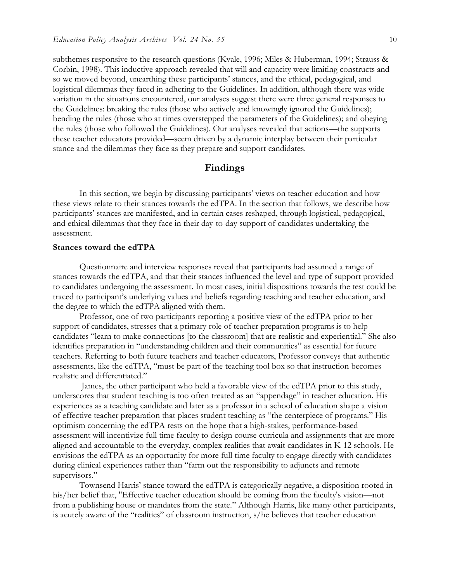subthemes responsive to the research questions (Kvale, 1996; Miles & Huberman, 1994; Strauss & Corbin, 1998). This inductive approach revealed that will and capacity were limiting constructs and so we moved beyond, unearthing these participants' stances, and the ethical, pedagogical, and logistical dilemmas they faced in adhering to the Guidelines. In addition, although there was wide variation in the situations encountered, our analyses suggest there were three general responses to the Guidelines: breaking the rules (those who actively and knowingly ignored the Guidelines); bending the rules (those who at times overstepped the parameters of the Guidelines); and obeying the rules (those who followed the Guidelines). Our analyses revealed that actions—the supports these teacher educators provided—seem driven by a dynamic interplay between their particular stance and the dilemmas they face as they prepare and support candidates.

## **Findings**

In this section, we begin by discussing participants' views on teacher education and how these views relate to their stances towards the edTPA. In the section that follows, we describe how participants' stances are manifested, and in certain cases reshaped, through logistical, pedagogical, and ethical dilemmas that they face in their day-to-day support of candidates undertaking the assessment.

#### **Stances toward the edTPA**

Questionnaire and interview responses reveal that participants had assumed a range of stances towards the edTPA, and that their stances influenced the level and type of support provided to candidates undergoing the assessment. In most cases, initial dispositions towards the test could be traced to participant's underlying values and beliefs regarding teaching and teacher education, and the degree to which the edTPA aligned with them.

Professor, one of two participants reporting a positive view of the edTPA prior to her support of candidates, stresses that a primary role of teacher preparation programs is to help candidates "learn to make connections [to the classroom] that are realistic and experiential." She also identifies preparation in "understanding children and their communities" as essential for future teachers. Referring to both future teachers and teacher educators, Professor conveys that authentic assessments, like the edTPA, "must be part of the teaching tool box so that instruction becomes realistic and differentiated."

James, the other participant who held a favorable view of the edTPA prior to this study, underscores that student teaching is too often treated as an "appendage" in teacher education. His experiences as a teaching candidate and later as a professor in a school of education shape a vision of effective teacher preparation that places student teaching as "the centerpiece of programs." His optimism concerning the edTPA rests on the hope that a high-stakes, performance-based assessment will incentivize full time faculty to design course curricula and assignments that are more aligned and accountable to the everyday, complex realities that await candidates in K-12 schools. He envisions the edTPA as an opportunity for more full time faculty to engage directly with candidates during clinical experiences rather than "farm out the responsibility to adjuncts and remote supervisors."

Townsend Harris' stance toward the edTPA is categorically negative, a disposition rooted in his/her belief that, "Effective teacher education should be coming from the faculty's vision—not from a publishing house or mandates from the state." Although Harris, like many other participants, is acutely aware of the "realities" of classroom instruction, s/he believes that teacher education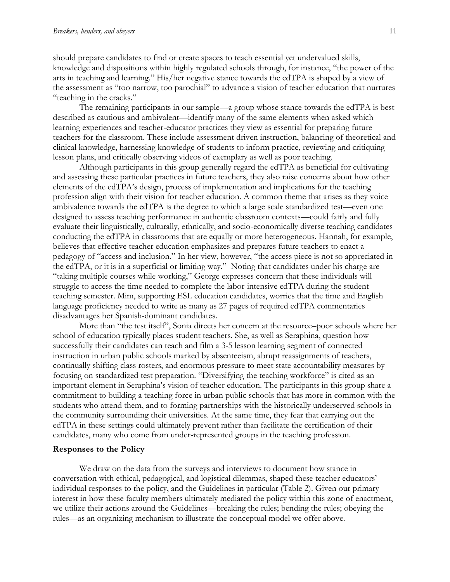should prepare candidates to find or create spaces to teach essential yet undervalued skills, knowledge and dispositions within highly regulated schools through, for instance, "the power of the arts in teaching and learning." His/her negative stance towards the edTPA is shaped by a view of the assessment as "too narrow, too parochial" to advance a vision of teacher education that nurtures "teaching in the cracks."

The remaining participants in our sample—a group whose stance towards the edTPA is best described as cautious and ambivalent—identify many of the same elements when asked which learning experiences and teacher-educator practices they view as essential for preparing future teachers for the classroom. These include assessment driven instruction, balancing of theoretical and clinical knowledge, harnessing knowledge of students to inform practice, reviewing and critiquing lesson plans, and critically observing videos of exemplary as well as poor teaching.

Although participants in this group generally regard the edTPA as beneficial for cultivating and assessing these particular practices in future teachers, they also raise concerns about how other elements of the edTPA's design, process of implementation and implications for the teaching profession align with their vision for teacher education. A common theme that arises as they voice ambivalence towards the edTPA is the degree to which a large scale standardized test—even one designed to assess teaching performance in authentic classroom contexts—could fairly and fully evaluate their linguistically, culturally, ethnically, and socio-economically diverse teaching candidates conducting the edTPA in classrooms that are equally or more heterogeneous. Hannah, for example, believes that effective teacher education emphasizes and prepares future teachers to enact a pedagogy of "access and inclusion." In her view, however, "the access piece is not so appreciated in the edTPA, or it is in a superficial or limiting way." Noting that candidates under his charge are "taking multiple courses while working," George expresses concern that these individuals will struggle to access the time needed to complete the labor-intensive edTPA during the student teaching semester. Mim, supporting ESL education candidates, worries that the time and English language proficiency needed to write as many as 27 pages of required edTPA commentaries disadvantages her Spanish-dominant candidates.

More than "the test itself", Sonia directs her concern at the resource–poor schools where her school of education typically places student teachers. She, as well as Seraphina, question how successfully their candidates can teach and film a 3-5 lesson learning segment of connected instruction in urban public schools marked by absenteeism, abrupt reassignments of teachers, continually shifting class rosters, and enormous pressure to meet state accountability measures by focusing on standardized test preparation. "Diversifying the teaching workforce" is cited as an important element in Seraphina's vision of teacher education. The participants in this group share a commitment to building a teaching force in urban public schools that has more in common with the students who attend them, and to forming partnerships with the historically underserved schools in the community surrounding their universities. At the same time, they fear that carrying out the edTPA in these settings could ultimately prevent rather than facilitate the certification of their candidates, many who come from under-represented groups in the teaching profession.

#### **Responses to the Policy**

We draw on the data from the surveys and interviews to document how stance in conversation with ethical, pedagogical, and logistical dilemmas, shaped these teacher educators' individual responses to the policy, and the Guidelines in particular (Table 2). Given our primary interest in how these faculty members ultimately mediated the policy within this zone of enactment, we utilize their actions around the Guidelines—breaking the rules; bending the rules; obeying the rules—as an organizing mechanism to illustrate the conceptual model we offer above.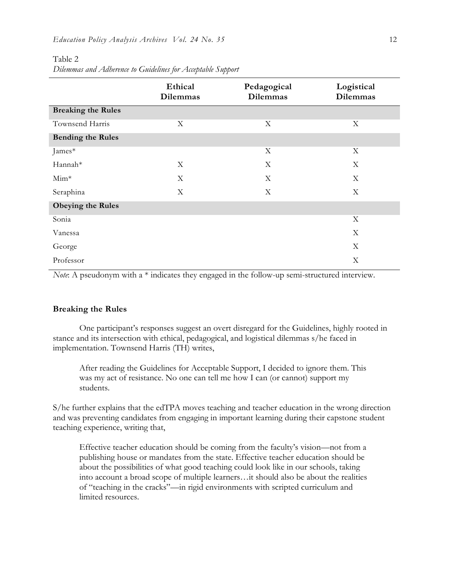|                           | Ethical<br><b>Dilemmas</b> | Pedagogical<br><b>Dilemmas</b> | Logistical<br><b>Dilemmas</b> |  |
|---------------------------|----------------------------|--------------------------------|-------------------------------|--|
| <b>Breaking the Rules</b> |                            |                                |                               |  |
| Townsend Harris           | $\mathbf X$                | X                              | $\boldsymbol{\mathrm{X}}$     |  |
| <b>Bending the Rules</b>  |                            |                                |                               |  |
| James*                    |                            | $\mathbf X$                    | $\boldsymbol{\mathrm{X}}$     |  |
| Hannah*                   | $\mathbf X$                | X                              | X                             |  |
| $Min*$                    | X                          | $\mathbf X$                    | X                             |  |
| Seraphina                 | $\mathbf X$                | X                              | X                             |  |
| Obeying the Rules         |                            |                                |                               |  |
| Sonia                     |                            |                                | $\boldsymbol{\mathrm{X}}$     |  |
| Vanessa                   |                            |                                | X                             |  |
| George                    |                            |                                | X                             |  |
| Professor                 |                            |                                | $\boldsymbol{\mathrm{X}}$     |  |

Table 2 *Dilemmas and Adherence to Guidelines for Acceptable Support*

*Note*: A pseudonym with a \* indicates they engaged in the follow-up semi-structured interview.

#### **Breaking the Rules**

One participant's responses suggest an overt disregard for the Guidelines, highly rooted in stance and its intersection with ethical, pedagogical, and logistical dilemmas s/he faced in implementation. Townsend Harris (TH) writes,

After reading the Guidelines for Acceptable Support, I decided to ignore them. This was my act of resistance. No one can tell me how I can (or cannot) support my students.

S/he further explains that the edTPA moves teaching and teacher education in the wrong direction and was preventing candidates from engaging in important learning during their capstone student teaching experience, writing that,

Effective teacher education should be coming from the faculty's vision—not from a publishing house or mandates from the state. Effective teacher education should be about the possibilities of what good teaching could look like in our schools, taking into account a broad scope of multiple learners…it should also be about the realities of "teaching in the cracks"—in rigid environments with scripted curriculum and limited resources.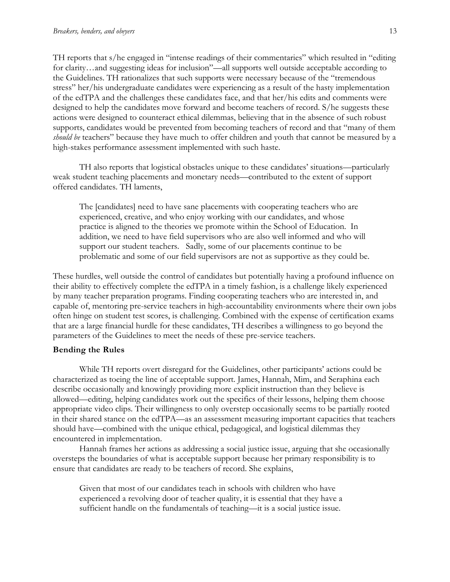TH reports that s/he engaged in "intense readings of their commentaries" which resulted in "editing for clarity…and suggesting ideas for inclusion"—all supports well outside acceptable according to the Guidelines. TH rationalizes that such supports were necessary because of the "tremendous stress" her/his undergraduate candidates were experiencing as a result of the hasty implementation of the edTPA and the challenges these candidates face, and that her/his edits and comments were designed to help the candidates move forward and become teachers of record. S/he suggests these actions were designed to counteract ethical dilemmas, believing that in the absence of such robust supports, candidates would be prevented from becoming teachers of record and that "many of them *should be* teachers" because they have much to offer children and youth that cannot be measured by a high-stakes performance assessment implemented with such haste.

TH also reports that logistical obstacles unique to these candidates' situations—particularly weak student teaching placements and monetary needs—contributed to the extent of support offered candidates. TH laments,

The [candidates] need to have sane placements with cooperating teachers who are experienced, creative, and who enjoy working with our candidates, and whose practice is aligned to the theories we promote within the School of Education. In addition, we need to have field supervisors who are also well informed and who will support our student teachers. Sadly, some of our placements continue to be problematic and some of our field supervisors are not as supportive as they could be.

These hurdles, well outside the control of candidates but potentially having a profound influence on their ability to effectively complete the edTPA in a timely fashion, is a challenge likely experienced by many teacher preparation programs. Finding cooperating teachers who are interested in, and capable of, mentoring pre-service teachers in high-accountability environments where their own jobs often hinge on student test scores, is challenging. Combined with the expense of certification exams that are a large financial hurdle for these candidates, TH describes a willingness to go beyond the parameters of the Guidelines to meet the needs of these pre-service teachers.

#### **Bending the Rules**

While TH reports overt disregard for the Guidelines, other participants' actions could be characterized as toeing the line of acceptable support. James, Hannah, Mim, and Seraphina each describe occasionally and knowingly providing more explicit instruction than they believe is allowed—editing, helping candidates work out the specifics of their lessons, helping them choose appropriate video clips. Their willingness to only overstep occasionally seems to be partially rooted in their shared stance on the edTPA—as an assessment measuring important capacities that teachers should have—combined with the unique ethical, pedagogical, and logistical dilemmas they encountered in implementation.

Hannah frames her actions as addressing a social justice issue, arguing that she occasionally oversteps the boundaries of what is acceptable support because her primary responsibility is to ensure that candidates are ready to be teachers of record. She explains,

Given that most of our candidates teach in schools with children who have experienced a revolving door of teacher quality, it is essential that they have a sufficient handle on the fundamentals of teaching—it is a social justice issue.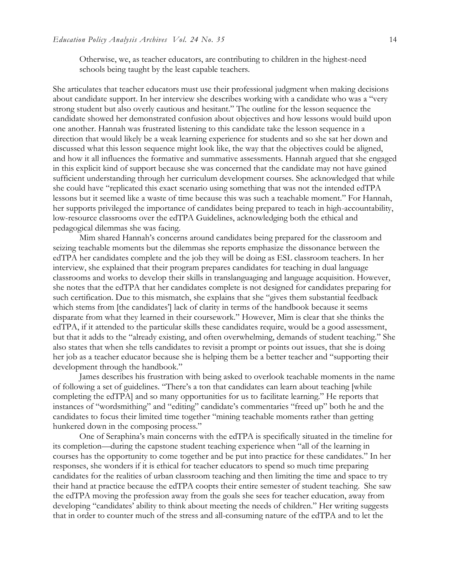Otherwise, we, as teacher educators, are contributing to children in the highest-need schools being taught by the least capable teachers.

She articulates that teacher educators must use their professional judgment when making decisions about candidate support. In her interview she describes working with a candidate who was a "very strong student but also overly cautious and hesitant." The outline for the lesson sequence the candidate showed her demonstrated confusion about objectives and how lessons would build upon one another. Hannah was frustrated listening to this candidate take the lesson sequence in a direction that would likely be a weak learning experience for students and so she sat her down and discussed what this lesson sequence might look like, the way that the objectives could be aligned, and how it all influences the formative and summative assessments. Hannah argued that she engaged in this explicit kind of support because she was concerned that the candidate may not have gained sufficient understanding through her curriculum development courses. She acknowledged that while she could have "replicated this exact scenario using something that was not the intended edTPA lessons but it seemed like a waste of time because this was such a teachable moment." For Hannah, her supports privileged the importance of candidates being prepared to teach in high-accountability, low-resource classrooms over the edTPA Guidelines, acknowledging both the ethical and pedagogical dilemmas she was facing.

Mim shared Hannah's concerns around candidates being prepared for the classroom and seizing teachable moments but the dilemmas she reports emphasize the dissonance between the edTPA her candidates complete and the job they will be doing as ESL classroom teachers. In her interview, she explained that their program prepares candidates for teaching in dual language classrooms and works to develop their skills in translanguaging and language acquisition. However, she notes that the edTPA that her candidates complete is not designed for candidates preparing for such certification. Due to this mismatch, she explains that she "gives them substantial feedback which stems from [the candidates'] lack of clarity in terms of the handbook because it seems disparate from what they learned in their coursework." However, Mim is clear that she thinks the edTPA, if it attended to the particular skills these candidates require, would be a good assessment, but that it adds to the "already existing, and often overwhelming, demands of student teaching." She also states that when she tells candidates to revisit a prompt or points out issues, that she is doing her job as a teacher educator because she is helping them be a better teacher and "supporting their development through the handbook."

James describes his frustration with being asked to overlook teachable moments in the name of following a set of guidelines. "There's a ton that candidates can learn about teaching [while completing the edTPA] and so many opportunities for us to facilitate learning." He reports that instances of "wordsmithing" and "editing" candidate's commentaries "freed up" both he and the candidates to focus their limited time together "mining teachable moments rather than getting hunkered down in the composing process."

One of Seraphina's main concerns with the edTPA is specifically situated in the timeline for its completion—during the capstone student teaching experience when "all of the learning in courses has the opportunity to come together and be put into practice for these candidates." In her responses, she wonders if it is ethical for teacher educators to spend so much time preparing candidates for the realities of urban classroom teaching and then limiting the time and space to try their hand at practice because the edTPA coopts their entire semester of student teaching. She saw the edTPA moving the profession away from the goals she sees for teacher education, away from developing "candidates' ability to think about meeting the needs of children." Her writing suggests that in order to counter much of the stress and all-consuming nature of the edTPA and to let the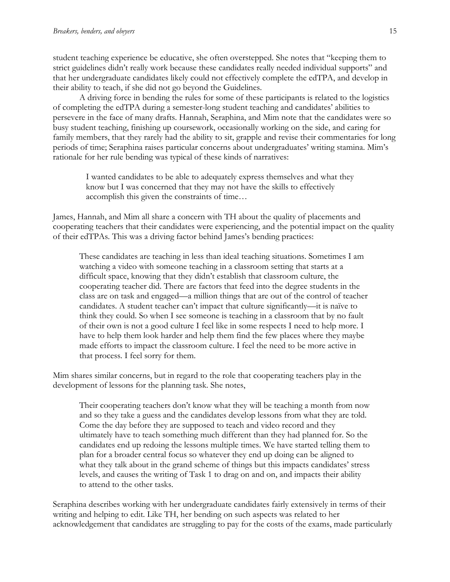student teaching experience be educative, she often overstepped. She notes that "keeping them to strict guidelines didn't really work because these candidates really needed individual supports" and that her undergraduate candidates likely could not effectively complete the edTPA, and develop in their ability to teach, if she did not go beyond the Guidelines.

A driving force in bending the rules for some of these participants is related to the logistics of completing the edTPA during a semester-long student teaching and candidates' abilities to persevere in the face of many drafts. Hannah, Seraphina, and Mim note that the candidates were so busy student teaching, finishing up coursework, occasionally working on the side, and caring for family members, that they rarely had the ability to sit, grapple and revise their commentaries for long periods of time; Seraphina raises particular concerns about undergraduates' writing stamina. Mim's rationale for her rule bending was typical of these kinds of narratives:

I wanted candidates to be able to adequately express themselves and what they know but I was concerned that they may not have the skills to effectively accomplish this given the constraints of time…

James, Hannah, and Mim all share a concern with TH about the quality of placements and cooperating teachers that their candidates were experiencing, and the potential impact on the quality of their edTPAs. This was a driving factor behind James's bending practices:

These candidates are teaching in less than ideal teaching situations. Sometimes I am watching a video with someone teaching in a classroom setting that starts at a difficult space, knowing that they didn't establish that classroom culture, the cooperating teacher did. There are factors that feed into the degree students in the class are on task and engaged—a million things that are out of the control of teacher candidates. A student teacher can't impact that culture significantly—it is naïve to think they could. So when I see someone is teaching in a classroom that by no fault of their own is not a good culture I feel like in some respects I need to help more. I have to help them look harder and help them find the few places where they maybe made efforts to impact the classroom culture. I feel the need to be more active in that process. I feel sorry for them.

Mim shares similar concerns, but in regard to the role that cooperating teachers play in the development of lessons for the planning task. She notes,

Their cooperating teachers don't know what they will be teaching a month from now and so they take a guess and the candidates develop lessons from what they are told. Come the day before they are supposed to teach and video record and they ultimately have to teach something much different than they had planned for. So the candidates end up redoing the lessons multiple times. We have started telling them to plan for a broader central focus so whatever they end up doing can be aligned to what they talk about in the grand scheme of things but this impacts candidates' stress levels, and causes the writing of Task 1 to drag on and on, and impacts their ability to attend to the other tasks.

Seraphina describes working with her undergraduate candidates fairly extensively in terms of their writing and helping to edit. Like TH, her bending on such aspects was related to her acknowledgement that candidates are struggling to pay for the costs of the exams, made particularly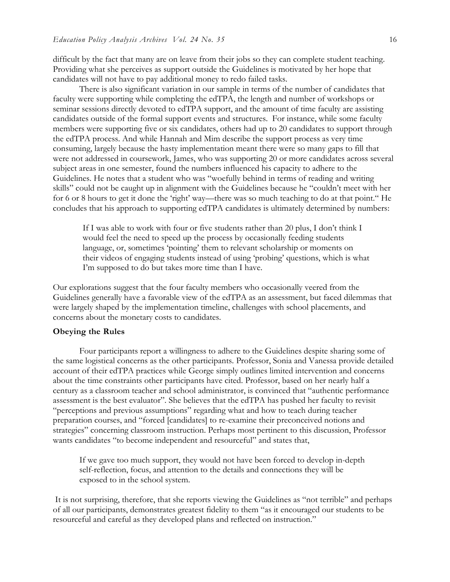difficult by the fact that many are on leave from their jobs so they can complete student teaching. Providing what she perceives as support outside the Guidelines is motivated by her hope that candidates will not have to pay additional money to redo failed tasks.

There is also significant variation in our sample in terms of the number of candidates that faculty were supporting while completing the edTPA, the length and number of workshops or seminar sessions directly devoted to edTPA support, and the amount of time faculty are assisting candidates outside of the formal support events and structures. For instance, while some faculty members were supporting five or six candidates, others had up to 20 candidates to support through the edTPA process. And while Hannah and Mim describe the support process as very time consuming, largely because the hasty implementation meant there were so many gaps to fill that were not addressed in coursework, James, who was supporting 20 or more candidates across several subject areas in one semester, found the numbers influenced his capacity to adhere to the Guidelines. He notes that a student who was "woefully behind in terms of reading and writing skills" could not be caught up in alignment with the Guidelines because he "couldn't meet with her for 6 or 8 hours to get it done the 'right' way—there was so much teaching to do at that point." He concludes that his approach to supporting edTPA candidates is ultimately determined by numbers:

If I was able to work with four or five students rather than 20 plus, I don't think I would feel the need to speed up the process by occasionally feeding students language, or, sometimes 'pointing' them to relevant scholarship or moments on their videos of engaging students instead of using 'probing' questions, which is what I'm supposed to do but takes more time than I have.

Our explorations suggest that the four faculty members who occasionally veered from the Guidelines generally have a favorable view of the edTPA as an assessment, but faced dilemmas that were largely shaped by the implementation timeline, challenges with school placements, and concerns about the monetary costs to candidates.

#### **Obeying the Rules**

Four participants report a willingness to adhere to the Guidelines despite sharing some of the same logistical concerns as the other participants. Professor, Sonia and Vanessa provide detailed account of their edTPA practices while George simply outlines limited intervention and concerns about the time constraints other participants have cited. Professor, based on her nearly half a century as a classroom teacher and school administrator, is convinced that "authentic performance assessment is the best evaluator". She believes that the edTPA has pushed her faculty to revisit "perceptions and previous assumptions" regarding what and how to teach during teacher preparation courses, and "forced [candidates] to re-examine their preconceived notions and strategies" concerning classroom instruction. Perhaps most pertinent to this discussion, Professor wants candidates "to become independent and resourceful" and states that,

If we gave too much support, they would not have been forced to develop in-depth self-reflection, focus, and attention to the details and connections they will be exposed to in the school system.

It is not surprising, therefore, that she reports viewing the Guidelines as "not terrible" and perhaps of all our participants, demonstrates greatest fidelity to them "as it encouraged our students to be resourceful and careful as they developed plans and reflected on instruction."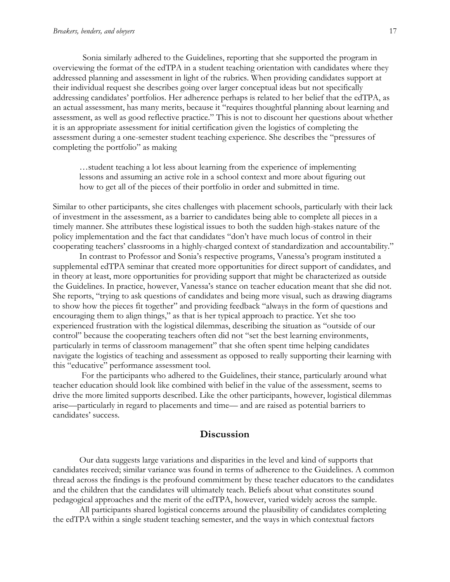Sonia similarly adhered to the Guidelines, reporting that she supported the program in overviewing the format of the edTPA in a student teaching orientation with candidates where they addressed planning and assessment in light of the rubrics. When providing candidates support at their individual request she describes going over larger conceptual ideas but not specifically addressing candidates' portfolios. Her adherence perhaps is related to her belief that the edTPA, as an actual assessment, has many merits, because it "requires thoughtful planning about learning and assessment, as well as good reflective practice." This is not to discount her questions about whether it is an appropriate assessment for initial certification given the logistics of completing the assessment during a one-semester student teaching experience. She describes the "pressures of completing the portfolio" as making

…student teaching a lot less about learning from the experience of implementing lessons and assuming an active role in a school context and more about figuring out how to get all of the pieces of their portfolio in order and submitted in time.

Similar to other participants, she cites challenges with placement schools, particularly with their lack of investment in the assessment, as a barrier to candidates being able to complete all pieces in a timely manner. She attributes these logistical issues to both the sudden high-stakes nature of the policy implementation and the fact that candidates "don't have much locus of control in their cooperating teachers' classrooms in a highly-charged context of standardization and accountability."

In contrast to Professor and Sonia's respective programs, Vanessa's program instituted a supplemental edTPA seminar that created more opportunities for direct support of candidates, and in theory at least, more opportunities for providing support that might be characterized as outside the Guidelines. In practice, however, Vanessa's stance on teacher education meant that she did not. She reports, "trying to ask questions of candidates and being more visual, such as drawing diagrams to show how the pieces fit together" and providing feedback "always in the form of questions and encouraging them to align things," as that is her typical approach to practice. Yet she too experienced frustration with the logistical dilemmas, describing the situation as "outside of our control" because the cooperating teachers often did not "set the best learning environments, particularly in terms of classroom management" that she often spent time helping candidates navigate the logistics of teaching and assessment as opposed to really supporting their learning with this "educative" performance assessment tool.

For the participants who adhered to the Guidelines, their stance, particularly around what teacher education should look like combined with belief in the value of the assessment, seems to drive the more limited supports described. Like the other participants, however, logistical dilemmas arise—particularly in regard to placements and time— and are raised as potential barriers to candidates' success.

## **Discussion**

Our data suggests large variations and disparities in the level and kind of supports that candidates received; similar variance was found in terms of adherence to the Guidelines. A common thread across the findings is the profound commitment by these teacher educators to the candidates and the children that the candidates will ultimately teach. Beliefs about what constitutes sound pedagogical approaches and the merit of the edTPA, however, varied widely across the sample.

All participants shared logistical concerns around the plausibility of candidates completing the edTPA within a single student teaching semester, and the ways in which contextual factors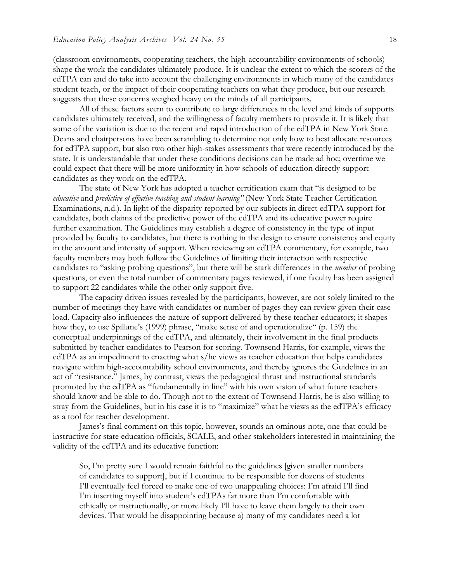(classroom environments, cooperating teachers, the high-accountability environments of schools) shape the work the candidates ultimately produce. It is unclear the extent to which the scorers of the edTPA can and do take into account the challenging environments in which many of the candidates student teach, or the impact of their cooperating teachers on what they produce, but our research suggests that these concerns weighed heavy on the minds of all participants.

All of these factors seem to contribute to large differences in the level and kinds of supports candidates ultimately received, and the willingness of faculty members to provide it. It is likely that some of the variation is due to the recent and rapid introduction of the edTPA in New York State. Deans and chairpersons have been scrambling to determine not only how to best allocate resources for edTPA support, but also two other high-stakes assessments that were recently introduced by the state. It is understandable that under these conditions decisions can be made ad hoc; overtime we could expect that there will be more uniformity in how schools of education directly support candidates as they work on the edTPA.

The state of New York has adopted a teacher certification exam that "is designed to be *educative* and *predictive of effective teaching and student learning"* (New York State Teacher Certification Examinations, n.d.). In light of the disparity reported by our subjects in direct edTPA support for candidates, both claims of the predictive power of the edTPA and its educative power require further examination. The Guidelines may establish a degree of consistency in the type of input provided by faculty to candidates, but there is nothing in the design to ensure consistency and equity in the amount and intensity of support. When reviewing an edTPA commentary, for example, two faculty members may both follow the Guidelines of limiting their interaction with respective candidates to "asking probing questions", but there will be stark differences in the *number* of probing questions, or even the total number of commentary pages reviewed, if one faculty has been assigned to support 22 candidates while the other only support five.

The capacity driven issues revealed by the participants, however, are not solely limited to the number of meetings they have with candidates or number of pages they can review given their caseload. Capacity also influences the nature of support delivered by these teacher-educators; it shapes how they, to use Spillane's (1999) phrase, "make sense of and operationalize" (p. 159) the conceptual underpinnings of the edTPA, and ultimately, their involvement in the final products submitted by teacher candidates to Pearson for scoring. Townsend Harris, for example, views the edTPA as an impediment to enacting what s/he views as teacher education that helps candidates navigate within high-accountability school environments, and thereby ignores the Guidelines in an act of "resistance." James, by contrast, views the pedagogical thrust and instructional standards promoted by the edTPA as "fundamentally in line" with his own vision of what future teachers should know and be able to do. Though not to the extent of Townsend Harris, he is also willing to stray from the Guidelines, but in his case it is to "maximize" what he views as the edTPA's efficacy as a tool for teacher development.

James's final comment on this topic, however, sounds an ominous note, one that could be instructive for state education officials, SCALE, and other stakeholders interested in maintaining the validity of the edTPA and its educative function:

So, I'm pretty sure I would remain faithful to the guidelines [given smaller numbers of candidates to support], but if I continue to be responsible for dozens of students I'll eventually feel forced to make one of two unappealing choices: I'm afraid I'll find I'm inserting myself into student's edTPAs far more than I'm comfortable with ethically or instructionally, or more likely I'll have to leave them largely to their own devices. That would be disappointing because a) many of my candidates need a lot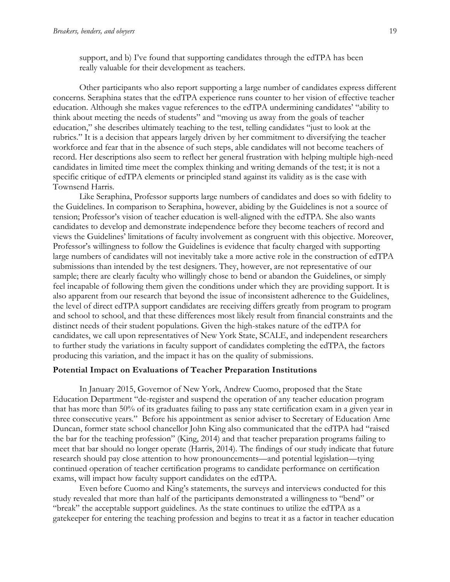support, and b) I've found that supporting candidates through the edTPA has been really valuable for their development as teachers.

Other participants who also report supporting a large number of candidates express different concerns. Seraphina states that the edTPA experience runs counter to her vision of effective teacher education. Although she makes vague references to the edTPA undermining candidates' "ability to think about meeting the needs of students" and "moving us away from the goals of teacher education," she describes ultimately teaching to the test, telling candidates "just to look at the rubrics." It is a decision that appears largely driven by her commitment to diversifying the teacher workforce and fear that in the absence of such steps, able candidates will not become teachers of record. Her descriptions also seem to reflect her general frustration with helping multiple high-need candidates in limited time meet the complex thinking and writing demands of the test; it is not a specific critique of edTPA elements or principled stand against its validity as is the case with Townsend Harris.

Like Seraphina, Professor supports large numbers of candidates and does so with fidelity to the Guidelines. In comparison to Seraphina, however, abiding by the Guidelines is not a source of tension; Professor's vision of teacher education is well-aligned with the edTPA. She also wants candidates to develop and demonstrate independence before they become teachers of record and views the Guidelines' limitations of faculty involvement as congruent with this objective. Moreover, Professor's willingness to follow the Guidelines is evidence that faculty charged with supporting large numbers of candidates will not inevitably take a more active role in the construction of edTPA submissions than intended by the test designers. They, however, are not representative of our sample; there are clearly faculty who willingly chose to bend or abandon the Guidelines, or simply feel incapable of following them given the conditions under which they are providing support. It is also apparent from our research that beyond the issue of inconsistent adherence to the Guidelines, the level of direct edTPA support candidates are receiving differs greatly from program to program and school to school, and that these differences most likely result from financial constraints and the distinct needs of their student populations. Given the high-stakes nature of the edTPA for candidates, we call upon representatives of New York State, SCALE, and independent researchers to further study the variations in faculty support of candidates completing the edTPA, the factors producing this variation, and the impact it has on the quality of submissions.

#### **Potential Impact on Evaluations of Teacher Preparation Institutions**

In January 2015, Governor of New York, Andrew Cuomo, proposed that the State Education Department "de-register and suspend the operation of any teacher education program that has more than 50% of its graduates failing to pass any state certification exam in a given year in three consecutive years." Before his appointment as senior adviser to Secretary of Education Arne Duncan, former state school chancellor John King also communicated that the edTPA had "raised the bar for the teaching profession" (King, 2014) and that teacher preparation programs failing to meet that bar should no longer operate (Harris, 2014). The findings of our study indicate that future research should pay close attention to how pronouncements—and potential legislation—tying continued operation of teacher certification programs to candidate performance on certification exams, will impact how faculty support candidates on the edTPA.

Even before Cuomo and King's statements, the surveys and interviews conducted for this study revealed that more than half of the participants demonstrated a willingness to "bend" or "break" the acceptable support guidelines. As the state continues to utilize the edTPA as a gatekeeper for entering the teaching profession and begins to treat it as a factor in teacher education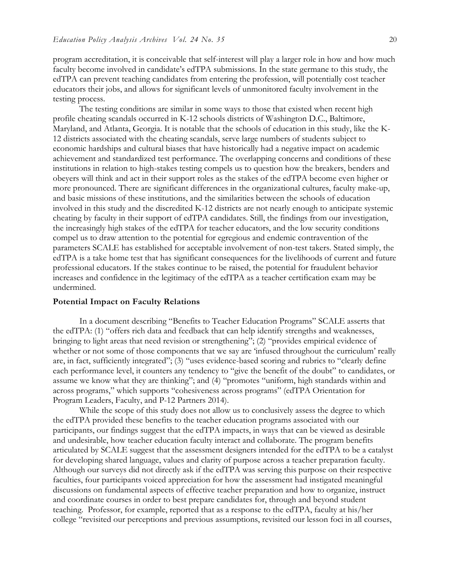program accreditation, it is conceivable that self-interest will play a larger role in how and how much faculty become involved in candidate's edTPA submissions. In the state germane to this study, the edTPA can prevent teaching candidates from entering the profession, will potentially cost teacher educators their jobs, and allows for significant levels of unmonitored faculty involvement in the testing process.

The testing conditions are similar in some ways to those that existed when recent high profile cheating scandals occurred in K-12 schools districts of Washington D.C., Baltimore, Maryland, and Atlanta, Georgia. It is notable that the schools of education in this study, like the K-12 districts associated with the cheating scandals, serve large numbers of students subject to economic hardships and cultural biases that have historically had a negative impact on academic achievement and standardized test performance. The overlapping concerns and conditions of these institutions in relation to high-stakes testing compels us to question how the breakers, benders and obeyers will think and act in their support roles as the stakes of the edTPA become even higher or more pronounced. There are significant differences in the organizational cultures, faculty make-up, and basic missions of these institutions, and the similarities between the schools of education involved in this study and the discredited K-12 districts are not nearly enough to anticipate systemic cheating by faculty in their support of edTPA candidates. Still, the findings from our investigation, the increasingly high stakes of the edTPA for teacher educators, and the low security conditions compel us to draw attention to the potential for egregious and endemic contravention of the parameters SCALE has established for acceptable involvement of non-test takers. Stated simply, the edTPA is a take home test that has significant consequences for the livelihoods of current and future professional educators. If the stakes continue to be raised, the potential for fraudulent behavior increases and confidence in the legitimacy of the edTPA as a teacher certification exam may be undermined.

#### **Potential Impact on Faculty Relations**

In a document describing "Benefits to Teacher Education Programs" SCALE asserts that the edTPA: (1) "offers rich data and feedback that can help identify strengths and weaknesses, bringing to light areas that need revision or strengthening"; (2) "provides empirical evidence of whether or not some of those components that we say are 'infused throughout the curriculum' really are, in fact, sufficiently integrated"; (3) "uses evidence-based scoring and rubrics to "clearly define each performance level, it counters any tendency to "give the benefit of the doubt" to candidates, or assume we know what they are thinking"; and (4) "promotes "uniform, high standards within and across programs," which supports "cohesiveness across programs" (edTPA Orientation for Program Leaders, Faculty, and P-12 Partners 2014).

While the scope of this study does not allow us to conclusively assess the degree to which the edTPA provided these benefits to the teacher education programs associated with our participants, our findings suggest that the edTPA impacts, in ways that can be viewed as desirable and undesirable, how teacher education faculty interact and collaborate. The program benefits articulated by SCALE suggest that the assessment designers intended for the edTPA to be a catalyst for developing shared language, values and clarity of purpose across a teacher preparation faculty. Although our surveys did not directly ask if the edTPA was serving this purpose on their respective faculties, four participants voiced appreciation for how the assessment had instigated meaningful discussions on fundamental aspects of effective teacher preparation and how to organize, instruct and coordinate courses in order to best prepare candidates for, through and beyond student teaching. Professor, for example, reported that as a response to the edTPA, faculty at his/her college "revisited our perceptions and previous assumptions, revisited our lesson foci in all courses,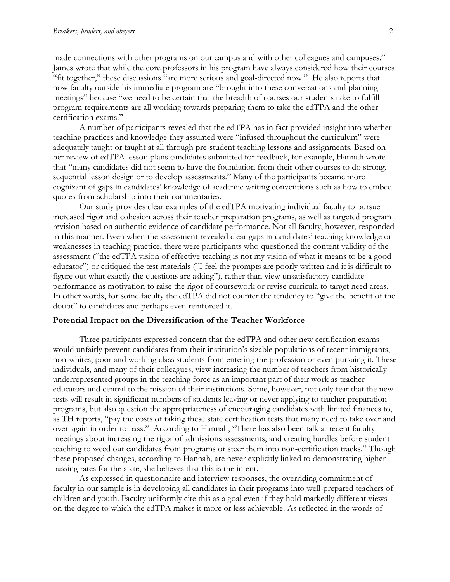made connections with other programs on our campus and with other colleagues and campuses." James wrote that while the core professors in his program have always considered how their courses "fit together," these discussions "are more serious and goal-directed now." He also reports that now faculty outside his immediate program are "brought into these conversations and planning meetings" because "we need to be certain that the breadth of courses our students take to fulfill program requirements are all working towards preparing them to take the edTPA and the other certification exams."

A number of participants revealed that the edTPA has in fact provided insight into whether teaching practices and knowledge they assumed were "infused throughout the curriculum" were adequately taught or taught at all through pre-student teaching lessons and assignments. Based on her review of edTPA lesson plans candidates submitted for feedback, for example, Hannah wrote that "many candidates did not seem to have the foundation from their other courses to do strong, sequential lesson design or to develop assessments." Many of the participants became more cognizant of gaps in candidates' knowledge of academic writing conventions such as how to embed quotes from scholarship into their commentaries.

Our study provides clear examples of the edTPA motivating individual faculty to pursue increased rigor and cohesion across their teacher preparation programs, as well as targeted program revision based on authentic evidence of candidate performance. Not all faculty, however, responded in this manner. Even when the assessment revealed clear gaps in candidates' teaching knowledge or weaknesses in teaching practice, there were participants who questioned the content validity of the assessment ("the edTPA vision of effective teaching is not my vision of what it means to be a good educator") or critiqued the test materials ("I feel the prompts are poorly written and it is difficult to figure out what exactly the questions are asking"), rather than view unsatisfactory candidate performance as motivation to raise the rigor of coursework or revise curricula to target need areas. In other words, for some faculty the edTPA did not counter the tendency to "give the benefit of the doubt" to candidates and perhaps even reinforced it.

#### **Potential Impact on the Diversification of the Teacher Workforce**

Three participants expressed concern that the edTPA and other new certification exams would unfairly prevent candidates from their institution's sizable populations of recent immigrants, non-whites, poor and working class students from entering the profession or even pursuing it. These individuals, and many of their colleagues, view increasing the number of teachers from historically underrepresented groups in the teaching force as an important part of their work as teacher educators and central to the mission of their institutions. Some, however, not only fear that the new tests will result in significant numbers of students leaving or never applying to teacher preparation programs, but also question the appropriateness of encouraging candidates with limited finances to, as TH reports, "pay the costs of taking these state certification tests that many need to take over and over again in order to pass." According to Hannah, "There has also been talk at recent faculty meetings about increasing the rigor of admissions assessments, and creating hurdles before student teaching to weed out candidates from programs or steer them into non-certification tracks." Though these proposed changes, according to Hannah, are never explicitly linked to demonstrating higher passing rates for the state, she believes that this is the intent.

As expressed in questionnaire and interview responses, the overriding commitment of faculty in our sample is in developing all candidates in their programs into well-prepared teachers of children and youth. Faculty uniformly cite this as a goal even if they hold markedly different views on the degree to which the edTPA makes it more or less achievable. As reflected in the words of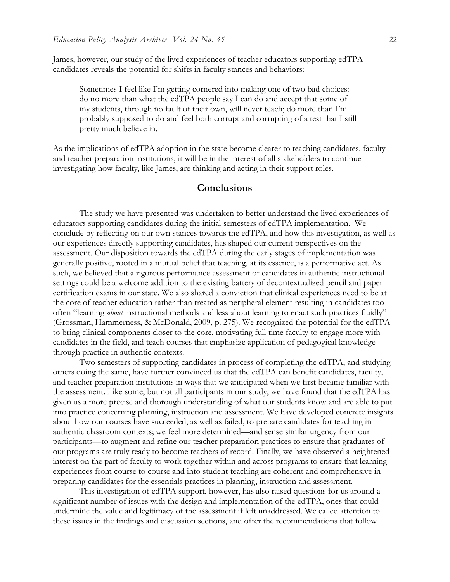James, however, our study of the lived experiences of teacher educators supporting edTPA candidates reveals the potential for shifts in faculty stances and behaviors:

Sometimes I feel like I'm getting cornered into making one of two bad choices: do no more than what the edTPA people say I can do and accept that some of my students, through no fault of their own, will never teach; do more than I'm probably supposed to do and feel both corrupt and corrupting of a test that I still pretty much believe in.

As the implications of edTPA adoption in the state become clearer to teaching candidates, faculty and teacher preparation institutions, it will be in the interest of all stakeholders to continue investigating how faculty, like James, are thinking and acting in their support roles.

## **Conclusions**

The study we have presented was undertaken to better understand the lived experiences of educators supporting candidates during the initial semesters of edTPA implementation. We conclude by reflecting on our own stances towards the edTPA, and how this investigation, as well as our experiences directly supporting candidates, has shaped our current perspectives on the assessment. Our disposition towards the edTPA during the early stages of implementation was generally positive, rooted in a mutual belief that teaching, at its essence, is a performative act. As such, we believed that a rigorous performance assessment of candidates in authentic instructional settings could be a welcome addition to the existing battery of decontextualized pencil and paper certification exams in our state. We also shared a conviction that clinical experiences need to be at the core of teacher education rather than treated as peripheral element resulting in candidates too often "learning *about* instructional methods and less about learning to enact such practices fluidly" (Grossman, Hammerness, & McDonald, 2009, p. 275). We recognized the potential for the edTPA to bring clinical components closer to the core, motivating full time faculty to engage more with candidates in the field, and teach courses that emphasize application of pedagogical knowledge through practice in authentic contexts.

Two semesters of supporting candidates in process of completing the edTPA, and studying others doing the same, have further convinced us that the edTPA can benefit candidates, faculty, and teacher preparation institutions in ways that we anticipated when we first became familiar with the assessment. Like some, but not all participants in our study, we have found that the edTPA has given us a more precise and thorough understanding of what our students know and are able to put into practice concerning planning, instruction and assessment. We have developed concrete insights about how our courses have succeeded, as well as failed, to prepare candidates for teaching in authentic classroom contexts; we feel more determined—and sense similar urgency from our participants—to augment and refine our teacher preparation practices to ensure that graduates of our programs are truly ready to become teachers of record. Finally, we have observed a heightened interest on the part of faculty to work together within and across programs to ensure that learning experiences from course to course and into student teaching are coherent and comprehensive in preparing candidates for the essentials practices in planning, instruction and assessment.

This investigation of edTPA support, however, has also raised questions for us around a significant number of issues with the design and implementation of the edTPA, ones that could undermine the value and legitimacy of the assessment if left unaddressed. We called attention to these issues in the findings and discussion sections, and offer the recommendations that follow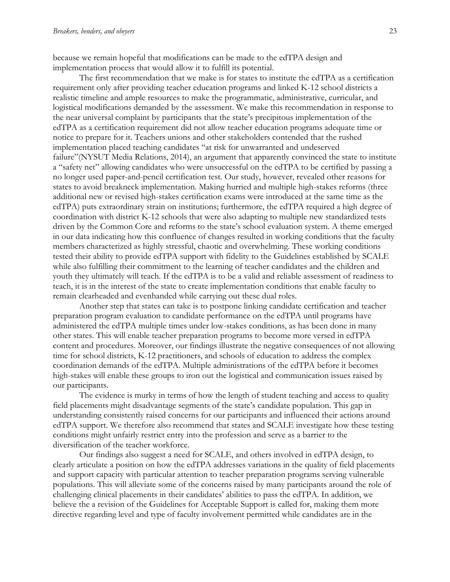because we remain hopeful that modifications can be made to the edTPA design and implementation process that would allow it to fulfill its potential.

The first recommendation that we make is for states to institute the edTPA as a certification requirement only after providing teacher education programs and linked K-12 school districts a realistic timeline and ample resources to make the programmatic, administrative, curricular, and logistical modifications demanded by the assessment. We make this recommendation in response to the near universal complaint by participants that the state's precipitous implementation of the edTPA as a certification requirement did not allow teacher education programs adequate time or notice to prepare for it. Teachers unions and other stakeholders contended that the rushed implementation placed teaching candidates "at risk for unwarranted and undeserved failure"(NYSUT Media Relations, 2014), an argument that apparently convinced the state to institute a "safety net" allowing candidates who were unsuccessful on the edTPA to be certified by passing a no longer used paper-and-pencil certification test. Our study, however, revealed other reasons for states to avoid breakneck implementation. Making hurried and multiple high-stakes reforms (three additional new or revised high-stakes certification exams were introduced at the same time as the edTPA) puts extraordinary strain on institutions; furthermore, the edTPA required a high degree of coordination with district K-12 schools that were also adapting to multiple new standardized tests driven by the Common Core and reforms to the state's school evaluation system. A theme emerged in our data indicating how this confluence of changes resulted in working conditions that the faculty members characterized as highly stressful, chaotic and overwhelming. These working conditions tested their ability to provide edTPA support with fidelity to the Guidelines established by SCALE while also fulfilling their commitment to the learning of teacher candidates and the children and youth they ultimately will teach. If the edTPA is to be a valid and reliable assessment of readiness to teach, it is in the interest of the state to create implementation conditions that enable faculty to remain clearheaded and evenhanded while carrying out these dual roles.

Another step that states can take is to postpone linking candidate certification and teacher preparation program evaluation to candidate performance on the edTPA until programs have administered the edTPA multiple times under low-stakes conditions, as has been done in many other states. This will enable teacher preparation programs to become more versed in edTPA content and procedures. Moreover, our findings illustrate the negative consequences of not allowing time for school districts, K-12 practitioners, and schools of education to address the complex coordination demands of the edTPA. Multiple administrations of the edTPA before it becomes high-stakes will enable these groups to iron out the logistical and communication issues raised by our participants.

The evidence is murky in terms of how the length of student teaching and access to quality field placements might disadvantage segments of the state's candidate population. This gap in understanding consistently raised concerns for our participants and influenced their actions around edTPA support. We therefore also recommend that states and SCALE investigate how these testing conditions might unfairly restrict entry into the profession and serve as a barrier to the diversification of the teacher workforce.

Our findings also suggest a need for SCALE, and others involved in edTPA design, to clearly articulate a position on how the edTPA addresses variations in the quality of field placements and support capacity with particular attention to teacher preparation programs serving vulnerable populations. This will alleviate some of the concerns raised by many participants around the role of challenging clinical placements in their candidates' abilities to pass the edTPA. In addition, we believe the a revision of the Guidelines for Acceptable Support is called for, making them more directive regarding level and type of faculty involvement permitted while candidates are in the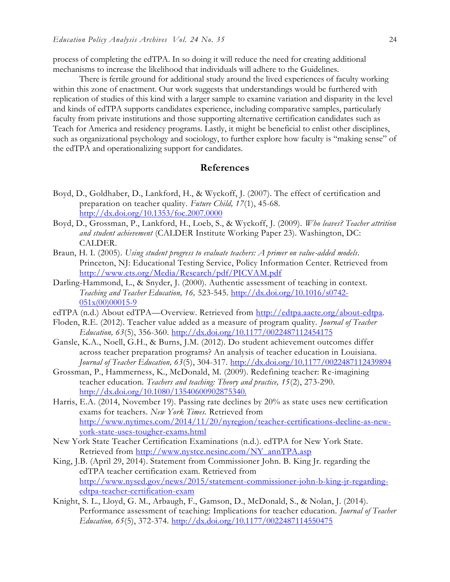process of completing the edTPA. In so doing it will reduce the need for creating additional mechanisms to increase the likelihood that individuals will adhere to the Guidelines.

There is fertile ground for additional study around the lived experiences of faculty working within this zone of enactment. Our work suggests that understandings would be furthered with replication of studies of this kind with a larger sample to examine variation and disparity in the level and kinds of edTPA supports candidates experience, including comparative samples, particularly faculty from private institutions and those supporting alternative certification candidates such as Teach for America and residency programs. Lastly, it might be beneficial to enlist other disciplines, such as organizational psychology and sociology, to further explore how faculty is "making sense" of the edTPA and operationalizing support for candidates.

## **References**

- Boyd, D., Goldhaber, D., Lankford, H., & Wyckoff, J. (2007). The effect of certification and preparation on teacher quality. *Future Child, 17*(1), 45-68. <http://dx.doi.org/10.1353/foc.2007.0000>
- Boyd, D., Grossman, P., Lankford, H., Loeb, S., & Wyckoff, J. (2009). *Who leaves? Teacher attrition and student achievement* (CALDER Institute Working Paper 23). Washington, DC: CALDER.
- Braun, H. I. (2005). *Using student progress to evaluate teachers: A primer on value-added models*. Princeton, NJ: Educational Testing Service, Policy Information Center. Retrieved from <http://www.ets.org/Media/Research/pdf/PICVAM.pdf>
- Darling-Hammond, L., & Snyder, J. (2000). Authentic assessment of teaching in context. *Teaching and Teacher Education, 16,* 523-545. [http://dx.doi.org/10.1016/s0742-](http://dx.doi.org/10.1016/s0742-051x%2800%2900015-9) 051x(00)00015-9
- edTPA (n.d.) About edTPA—Overview. Retrieved from [http://edtpa.aacte.org/about-edtpa.](http://edtpa.aacte.org/about-edtpa)
- Floden, R.E. (2012). Teacher value added as a measure of program quality. *Journal of Teacher Education, 63*(5), 356-360. <http://dx.doi.org/10.1177/0022487112454175>
- Gansle, K.A., Noell, G.H., & Burns, J.M. (2012). Do student achievement outcomes differ across teacher preparation programs? An analysis of teacher education in Louisiana. *Journal of Teacher Education, 63*(5), 304-317. <http://dx.doi.org/10.1177/0022487112439894>
- Grossman, P., Hammerness, K., McDonald, M. (2009). Redefining teacher: Re-imagining teacher education. *Teachers and teaching: Theory and practice, 15*(2), 273-290. http://dx.doi.org/10.1080/13540600902875340.
- Harris, E.A. (2014, November 19). Passing rate declines by 20% as state uses new certification exams for teachers. *New York Times.* Retrieved from [http://www.nytimes.com/2014/11/20/nyregion/teacher-certifications-decline-as-new](http://www.nytimes.com/2014/11/20/nyregion/teacher-certifications-decline-as-new-york-state-uses-tougher-exams.html)[york-state-uses-tougher-exams.html](http://www.nytimes.com/2014/11/20/nyregion/teacher-certifications-decline-as-new-york-state-uses-tougher-exams.html)
- New York State Teacher Certification Examinations (n.d.). edTPA for New York State. Retrieved from [http://www.nystce.nesinc.com/NY\\_annTPA.asp](http://www.nystce.nesinc.com/NY_annTPA.asp)
- King, J.B. (April 29, 2014). Statement from Commissioner John. B. King Jr. regarding the edTPA teacher certification exam. Retrieved from [http://www.nysed.gov/news/2015/statement-commissioner-john-b-king-jr-regarding](http://www.nysed.gov/news/2015/statement-commissioner-john-b-king-jr-regarding-edtpa-teacher-certification-exam)[edtpa-teacher-certification-exam](http://www.nysed.gov/news/2015/statement-commissioner-john-b-king-jr-regarding-edtpa-teacher-certification-exam)
- Knight, S. L., Lloyd, G. M., Arbaugh, F., Gamson, D., McDonald, S., & Nolan, J. (2014). Performance assessment of teaching: Implications for teacher education. *Journal of Teacher Education, 65*(5), 372-374.<http://dx.doi.org/10.1177/0022487114550475>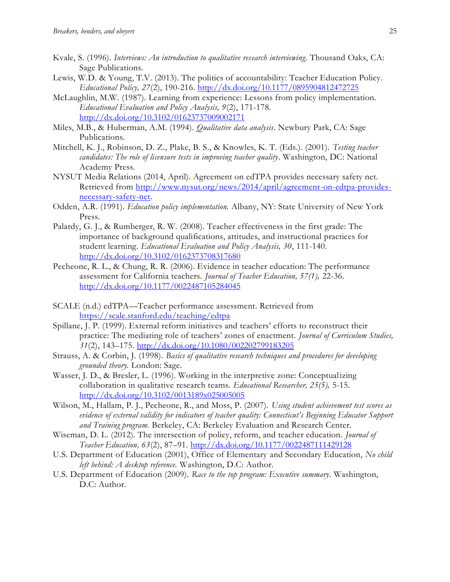- Kvale, S. (1996). *Interviews: An introduction to qualitative research interviewing*. Thousand Oaks, CA: Sage Publications.
- Lewis, W.D. & Young, T.V. (2013). The politics of accountability: Teacher Education Policy. *Educational Policy, 27*(2), 190-216. <http://dx.doi.org/10.1177/0895904812472725>
- McLaughlin, M.W. (1987). Learning from experience: Lessons from policy implementation. *Educational Evaluation and Policy Analysis, 9*(2), 171-178. <http://dx.doi.org/10.3102/01623737009002171>
- Miles, M.B., & Huberman, A.M. (1994). *Qualitative data analysis*. Newbury Park, CA: Sage Publications.
- Mitchell, K. J., Robinson, D. Z., Plake, B. S., & Knowles, K. T. (Eds.). (2001). *Testing teacher candidates: The role of licensure tests in improving teacher quality*. Washington, DC: National Academy Press.
- NYSUT Media Relations (2014, April). Agreement on edTPA provides necessary safety net. Retrieved from [http://www.nysut.org/news/2014/april/agreement-on-edtpa-provides](http://www.nysut.org/news/2014/april/agreement-on-edtpa-provides-necessary-safety-net)[necessary-safety-net.](http://www.nysut.org/news/2014/april/agreement-on-edtpa-provides-necessary-safety-net)
- Odden, A.R. (1991). *Education policy implementation.* Albany, NY: State University of New York Press.
- Palardy, G. J., & Rumberger, R. W. (2008). Teacher effectiveness in the first grade: The importance of background qualifications, attitudes, and instructional practices for student learning. *Educational Evaluation and Policy Analysis, 30*, 111-140. <http://dx.doi.org/10.3102/0162373708317680>
- Pecheone, R. L., & Chung, R. R. (2006). Evidence in teacher education: The performance assessment for California teachers. *Journal of Teacher Education, 57(1),* 22-36. <http://dx.doi.org/10.1177/0022487105284045>
- SCALE (n.d.) edTPA—Teacher performance assessment. Retrieved from <https://scale.stanford.edu/teaching/edtpa>
- Spillane, J. P. (1999). External reform initiatives and teachers' efforts to reconstruct their practice: The mediating role of teachers' zones of enactment. *Journal of Curriculum Studies, 31*(2), 143–175. <http://dx.doi.org/10.1080/002202799183205>
- Strauss, A. & Corbin, J. (1998). *Basics of qualitative research techniques and procedures for developing grounded theory.* London: Sage.
- Wasser, J. D., & Bresler, L. (1996). Working in the interpretive zone: Conceptualizing collaboration in qualitative research teams. *Educational Researcher, 25(5),* 5-15. <http://dx.doi.org/10.3102/0013189x025005005>
- Wilson, M., Hallam, P. J., Pecheone, R., and Moss, P. (2007). *Using student achievement test scores as evidence of external validity for indicators of teacher quality: Connecticut's Beginning Educator Support and Training program.* Berkeley, CA: Berkeley Evaluation and Research Center.
- Wiseman, D. L. (2012). The intersection of policy, reform, and teacher education. *Journal of Teacher Education, 63*(2), 87–91. <http://dx.doi.org/10.1177/0022487111429128>
- U.S. Department of Education (2001), Office of Elementary and Secondary Education, *No child left behind: A desktop reference.* Washington, D.C: Author.
- U.S. Department of Education (2009). *Race to the top program: Executive summary*. Washington, D.C: Author.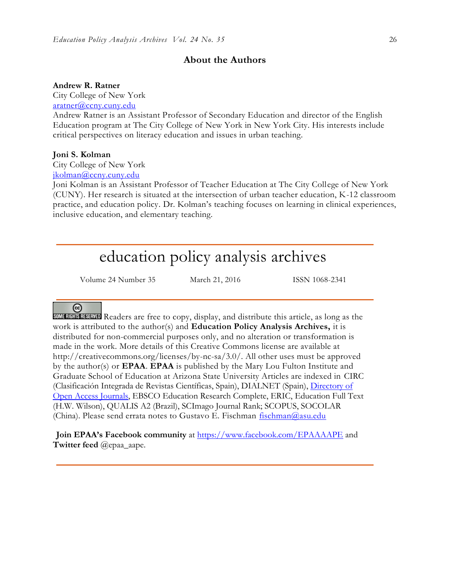### **About the Authors**

#### **Andrew R. Ratner**

City College of New York [aratner@ccny.cuny.edu](mailto:aratner@ccny.cuny.edu)

Andrew Ratner is an Assistant Professor of Secondary Education and director of the English Education program at The City College of New York in New York City. His interests include critical perspectives on literacy education and issues in urban teaching.

#### **Joni S. Kolman**

City College of New York [jkolman@ccny.cuny.edu](mailto:jkolman@ccny.cuny.edu)

Joni Kolman is an Assistant Professor of Teacher Education at The City College of New York (CUNY). Her research is situated at the intersection of urban teacher education, K-12 classroom practice, and education policy. Dr. Kolman's teaching focuses on learning in clinical experiences, inclusive education, and elementary teaching.

## education policy analysis archives

Volume 24 Number 35 March 21, 2016 ISSN 1068-2341

#### $(c)$

Readers are free to copy, display, and distribute this article, as long as the work is attributed to the author(s) and **Education Policy Analysis Archives,** it is distributed for non-commercial purposes only, and no alteration or transformation is made in the work. More details of this Creative Commons license are available at http://creativecommons.org/licenses/by-nc-sa/3.0/. All other uses must be approved by the author(s) or **EPAA**. **EPAA** is published by the Mary Lou Fulton Institute and Graduate School of Education at Arizona State University Articles are indexed in CIRC (Clasificación Integrada de Revistas Científicas, Spain), DIALNET (Spain), [Directory of](http://www.doaj.org/)  [Open Access Journals,](http://www.doaj.org/) EBSCO Education Research Complete, ERIC, Education Full Text (H.W. Wilson), QUALIS A2 (Brazil), SCImago Journal Rank; SCOPUS, SOCOLAR (China). Please send errata notes to Gustavo E. Fischman  $f_{ischman}(\partial_{lasu.edu})$ 

**Join EPAA's Facebook community** at<https://www.facebook.com/EPAAAAPE> and **Twitter feed** @epaa\_aape.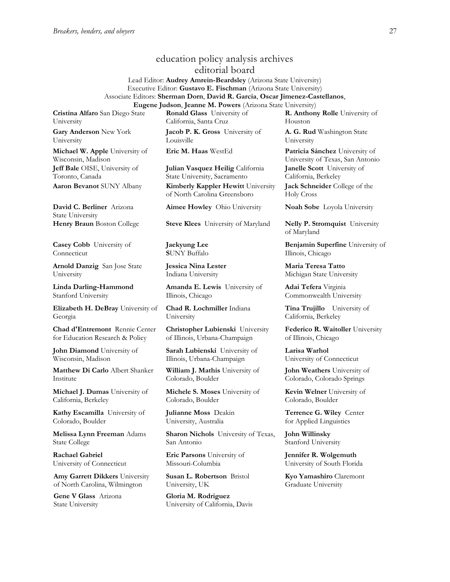## education policy analysis archives editorial board

Lead Editor: **Audrey Amrein-Beardsley** (Arizona State University) Executive Editor: **Gustavo E. Fischman** (Arizona State University) Associate Editors: **Sherman Dorn**, **David R. Garcia**, **Oscar Jimenez-Castellanos**, **Eugene Judson**, **Jeanne M. Powers** (Arizona State University)

**Cristina Alfaro** San Diego State University

**Gary Anderson** New York University

**Michael W. Apple** University of Wisconsin, Madison **Jeff Bale** OISE, University of Toronto, Canada

**David C. Berliner** Arizona State University

**Casey Cobb** University of Connecticut

**Arnold Danzig** San Jose State University

**Linda Darling-Hammond**  Stanford University

**Elizabeth H. DeBray** University of Georgia

**Chad d'Entremont** Rennie Center for Education Research & Policy

**John Diamond** University of Wisconsin, Madison

**Matthew Di Carlo** Albert Shanker Institute

**Michael J. Dumas** University of California, Berkeley

**Kathy Escamilla** University of Colorado, Boulder

**Melissa Lynn Freeman** Adams State College

**Rachael Gabriel** University of Connecticut

**Amy Garrett Dikkers** University of North Carolina, Wilmington

**Gene V Glass** Arizona State University

**Ronald Glass** University of California, Santa Cruz

**Jacob P. K. Gross** University of Louisville

**Julian Vasquez Heilig** California State University, Sacramento **Aaron Bevanot** SUNY Albany **Kimberly Kappler Hewitt** University of North Carolina Greensboro

**Aimee Howley** Ohio University **Noah Sobe** Loyola University

**Henry Braun** Boston College **Steve Klees** University of Maryland **Nelly P. Stromquist** University

**Jaekyung Lee S**UNY Buffalo

**Jessica Nina Lester** Indiana University

**Amanda E. Lewis** University of Illinois, Chicago

**Chad R. Lochmiller** Indiana University

**Christopher Lubienski** University of Illinois, Urbana-Champaign

**Sarah Lubienski** University of Illinois, Urbana-Champaign

**William J. Mathis** University of Colorado, Boulder

**Michele S. Moses** University of Colorado, Boulder

**Julianne Moss** Deakin University, Australia

**Sharon Nichols** University of Texas, San Antonio

**Eric Parsons** University of Missouri-Columbia

**Susan L. Robertson** Bristol University, UK

**Gloria M. Rodriguez** University of California, Davis **R. Anthony Rolle** University of Houston

**A. G. Rud** Washington State University

**Eric M. Haas** WestEd **Patricia Sánchez** University of University of Texas, San Antonio **Janelle Scott** University of California, Berkeley **Jack Schneider** College of the Holy Cross

of Maryland

**Benjamin Superfine** University of Illinois, Chicago

**Maria Teresa Tatto**  Michigan State University

**Adai Tefera** Virginia Commonwealth University

**Tina Trujillo** University of California, Berkeley

**Federico R. Waitoller** University of Illinois, Chicago

**Larisa Warhol** University of Connecticut

**John Weathers** University of Colorado, Colorado Springs

**Kevin Welner** University of Colorado, Boulder

**Terrence G. Wiley** Center for Applied Linguistics

**John Willinsky**  Stanford University

**Jennifer R. Wolgemuth**  University of South Florida

**Kyo Yamashiro** Claremont Graduate University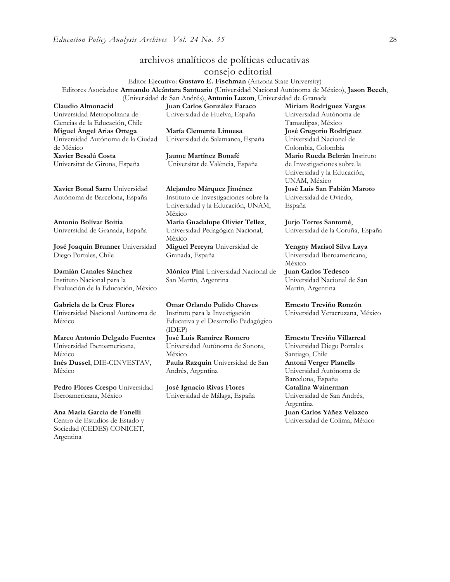## archivos analíticos de políticas educativas consejo editorial

Editor Ejecutivo: **Gustavo E. Fischman** (Arizona State University) Editores Asociados: **Armando Alcántara Santuario** (Universidad Nacional Autónoma de México), **Jason Beech**, (Universidad de San Andrés), **Antonio Luzon**, Universidad de Granada

**Claudio Almonacid** Universidad Metropolitana de Ciencias de la Educación, Chile **Miguel Ángel Arias Ortega**  Universidad Autónoma de la Ciudad de México **Xavier Besalú Costa**  Universitat de Girona, España

**[Xavier Bonal](javascript:openRTWindow() Sarro** Universidad Autónoma de Barcelona, España

**[Antonio Bolívar](javascript:openRTWindow() Boitia** Universidad de Granada, España

**[José Joaquín Brunner](javascript:openRTWindow()** Universidad Diego Portales, Chile

**[Damián Canales Sánchez](javascript:openRTWindow()** Instituto Nacional para la Evaluación de la Educación, México

**Gabriela de la Cruz Flores** Universidad Nacional Autónoma de México

**[Marco Antonio Delgado Fuentes](javascript:openRTWindow()** Universidad Iberoamericana, México **[Inés Dussel](javascript:openRTWindow()**, DIE-CINVESTAV, México

**[Pedro Flores Crespo](javascript:openRTWindow()** Universidad Iberoamericana, México

**Ana María García de Fanelli**  Centro de Estudios de Estado y Sociedad (CEDES) CONICET, Argentina

**Juan Carlos González Faraco**  Universidad de Huelva, España

**María Clemente Linuesa**  Universidad de Salamanca, España

**Jaume Martínez Bonafé** Universitat de València, España

**Alejandro Márquez Jiménez**  Instituto de Investigaciones sobre la Universidad y la Educación, UNAM, México

**María Guadalupe Olivier Tellez**, Universidad Pedagógica Nacional, México **[Miguel Pereyra](javascript:openRTWindow()** Universidad de Granada, España

**[Mónica Pini](javascript:openRTWindow()** Universidad Nacional de San Martín, Argentina

**Omar Orlando Pulido Chaves** Instituto para la Investigación Educativa y el Desarrollo Pedagógico (IDEP) **[José Luis Ramírez](javascript:openRTWindow() Romero** Universidad Autónoma de Sonora, México **[Paula Razquin](javascript:openRTWindow()** Universidad de San Andrés, Argentina

**José Ignacio Rivas Flores** Universidad de Málaga, España **[Miriam Rodríguez Vargas](javascript:openRTWindow()** Universidad Autónoma de Tamaulipas, México **José Gregorio Rodríguez**  Universidad Nacional de Colombia, Colombia **[Mario Rueda Beltrán](javascript:openRTWindow()** Instituto de Investigaciones sobre la Universidad y la Educación, UNAM, México **José Luis San Fabián Maroto**  Universidad de Oviedo, España

**[Jurjo Torres Santomé](javascript:openRTWindow()**, Universidad de la Coruña, España

**[Yengny Marisol Silva Laya](javascript:openRTWindow()** Universidad Iberoamericana, México

**Juan Carlos Tedesco** Universidad Nacional de San Martín, Argentina

**Ernesto Treviño Ronzón** Universidad Veracruzana, México

#### **[Ernesto Treviño](javascript:openRTWindow() Villarreal**

Universidad Diego Portales Santiago, Chile **[Antoni Verger Planells](javascript:openRTWindow()** Universidad Autónoma de Barcelona, España **[Catalina Wainerman](javascript:openRTWindow()** Universidad de San Andrés, Argentina **Juan Carlos Yáñez Velazco** Universidad de Colima, México